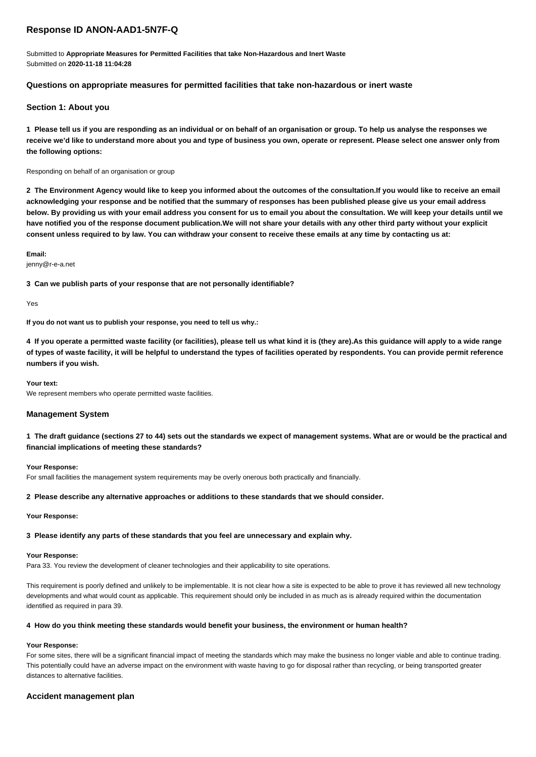# **Response ID ANON-AAD1-5N7F-Q**

Submitted to **Appropriate Measures for Permitted Facilities that take Non-Hazardous and Inert Waste** Submitted on **2020-11-18 11:04:28**

## **Questions on appropriate measures for permitted facilities that take non-hazardous or inert waste**

## **Section 1: About you**

**1 Please tell us if you are responding as an individual or on behalf of an organisation or group. To help us analyse the responses we receive we'd like to understand more about you and type of business you own, operate or represent. Please select one answer only from the following options:**

## Responding on behalf of an organisation or group

**2 The Environment Agency would like to keep you informed about the outcomes of the consultation.If you would like to receive an email acknowledging your response and be notified that the summary of responses has been published please give us your email address below. By providing us with your email address you consent for us to email you about the consultation. We will keep your details until we have notified you of the response document publication.We will not share your details with any other third party without your explicit consent unless required to by law. You can withdraw your consent to receive these emails at any time by contacting us at:**

**Email:**

jenny@r-e-a.net

**3 Can we publish parts of your response that are not personally identifiable?**

Yes

**If you do not want us to publish your response, you need to tell us why.:**

**4 If you operate a permitted waste facility (or facilities), please tell us what kind it is (they are).As this guidance will apply to a wide range of types of waste facility, it will be helpful to understand the types of facilities operated by respondents. You can provide permit reference numbers if you wish.**

**Your text:**

We represent members who operate permitted waste facilities.

### **Management System**

**1 The draft guidance (sections 27 to 44) sets out the standards we expect of management systems. What are or would be the practical and financial implications of meeting these standards?**

### **Your Response:**

For small facilities the management system requirements may be overly onerous both practically and financially.

#### **2 Please describe any alternative approaches or additions to these standards that we should consider.**

#### **Your Response:**

**3 Please identify any parts of these standards that you feel are unnecessary and explain why.**

## **Your Response:**

Para 33. You review the development of cleaner technologies and their applicability to site operations.

This requirement is poorly defined and unlikely to be implementable. It is not clear how a site is expected to be able to prove it has reviewed all new technology developments and what would count as applicable. This requirement should only be included in as much as is already required within the documentation identified as required in para 39.

## **4 How do you think meeting these standards would benefit your business, the environment or human health?**

## **Your Response:**

For some sites, there will be a significant financial impact of meeting the standards which may make the business no longer viable and able to continue trading. This potentially could have an adverse impact on the environment with waste having to go for disposal rather than recycling, or being transported greater distances to alternative facilities.

## **Accident management plan**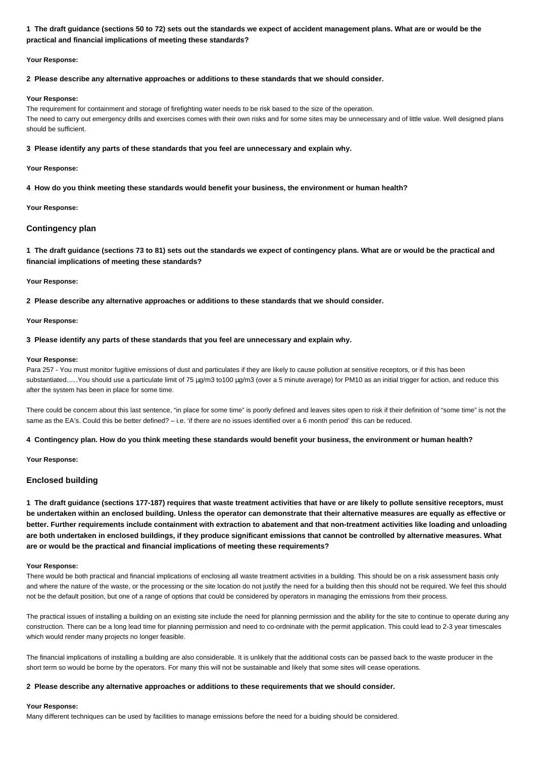## **1 The draft guidance (sections 50 to 72) sets out the standards we expect of accident management plans. What are or would be the practical and financial implications of meeting these standards?**

## **Your Response:**

## **2 Please describe any alternative approaches or additions to these standards that we should consider.**

### **Your Response:**

The requirement for containment and storage of firefighting water needs to be risk based to the size of the operation. The need to carry out emergency drills and exercises comes with their own risks and for some sites may be unnecessary and of little value. Well designed plans should be sufficient.

## **3 Please identify any parts of these standards that you feel are unnecessary and explain why.**

## **Your Response:**

**4 How do you think meeting these standards would benefit your business, the environment or human health?**

### **Your Response:**

## **Contingency plan**

**1 The draft guidance (sections 73 to 81) sets out the standards we expect of contingency plans. What are or would be the practical and financial implications of meeting these standards?**

### **Your Response:**

**2 Please describe any alternative approaches or additions to these standards that we should consider.**

### **Your Response:**

## **3 Please identify any parts of these standards that you feel are unnecessary and explain why.**

### **Your Response:**

Para 257 - You must monitor fugitive emissions of dust and particulates if they are likely to cause pollution at sensitive receptors, or if this has been substantiated......You should use a particulate limit of 75 µg/m3 to100 µg/m3 (over a 5 minute average) for PM10 as an initial trigger for action, and reduce this after the system has been in place for some time.

There could be concern about this last sentence, "in place for some time" is poorly defined and leaves sites open to risk if their definition of "some time" is not the same as the EA's. Could this be better defined? - i.e. 'if there are no issues identified over a 6 month period' this can be reduced.

## **4 Contingency plan. How do you think meeting these standards would benefit your business, the environment or human health?**

### **Your Response:**

## **Enclosed building**

**1 The draft guidance (sections 177-187) requires that waste treatment activities that have or are likely to pollute sensitive receptors, must be undertaken within an enclosed building. Unless the operator can demonstrate that their alternative measures are equally as effective or better. Further requirements include containment with extraction to abatement and that non-treatment activities like loading and unloading are both undertaken in enclosed buildings, if they produce significant emissions that cannot be controlled by alternative measures. What are or would be the practical and financial implications of meeting these requirements?**

### **Your Response:**

There would be both practical and financial implications of enclosing all waste treatment activities in a building. This should be on a risk assessment basis only and where the nature of the waste, or the processing or the site location do not justify the need for a building then this should not be required. We feel this should not be the default position, but one of a range of options that could be considered by operators in managing the emissions from their process.

The practical issues of installing a building on an existing site include the need for planning permission and the ability for the site to continue to operate during any construction. There can be a long lead time for planning permission and need to co-ordninate with the permit application. This could lead to 2-3 year timescales which would render many projects no longer feasible.

The financial implications of installing a building are also considerable. It is unlikely that the additional costs can be passed back to the waste producer in the short term so would be borne by the operators. For many this will not be sustainable and likely that some sites will cease operations.

### **2 Please describe any alternative approaches or additions to these requirements that we should consider.**

### **Your Response:**

Many different techniques can be used by facilities to manage emissions before the need for a buiding should be considered.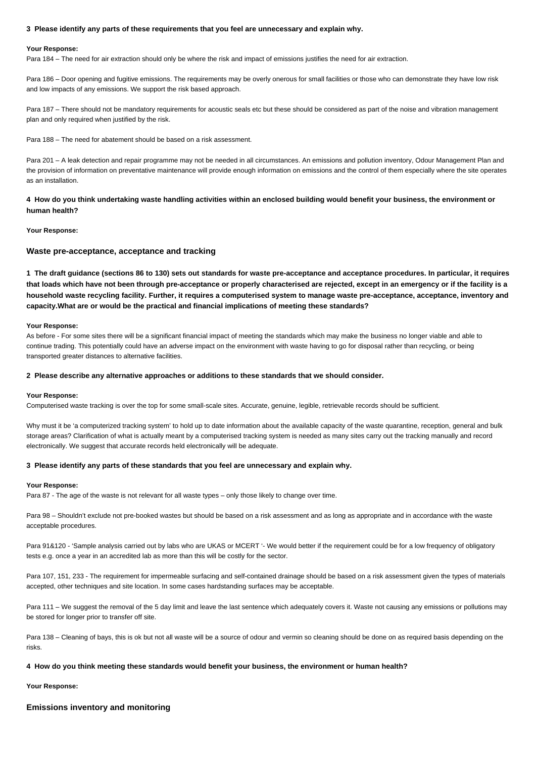## **3 Please identify any parts of these requirements that you feel are unnecessary and explain why.**

#### **Your Response:**

Para 184 – The need for air extraction should only be where the risk and impact of emissions justifies the need for air extraction.

Para 186 – Door opening and fugitive emissions. The requirements may be overly onerous for small facilities or those who can demonstrate they have low risk and low impacts of any emissions. We support the risk based approach.

Para 187 – There should not be mandatory requirements for acoustic seals etc but these should be considered as part of the noise and vibration management plan and only required when justified by the risk.

Para 188 – The need for abatement should be based on a risk assessment.

Para 201 – A leak detection and repair programme may not be needed in all circumstances. An emissions and pollution inventory, Odour Management Plan and the provision of information on preventative maintenance will provide enough information on emissions and the control of them especially where the site operates as an installation.

**4 How do you think undertaking waste handling activities within an enclosed building would benefit your business, the environment or human health?**

## **Your Response:**

### **Waste pre-acceptance, acceptance and tracking**

**1 The draft guidance (sections 86 to 130) sets out standards for waste pre-acceptance and acceptance procedures. In particular, it requires that loads which have not been through pre-acceptance or properly characterised are rejected, except in an emergency or if the facility is a household waste recycling facility. Further, it requires a computerised system to manage waste pre-acceptance, acceptance, inventory and capacity.What are or would be the practical and financial implications of meeting these standards?**

#### **Your Response:**

As before - For some sites there will be a significant financial impact of meeting the standards which may make the business no longer viable and able to continue trading. This potentially could have an adverse impact on the environment with waste having to go for disposal rather than recycling, or being transported greater distances to alternative facilities.

#### **2 Please describe any alternative approaches or additions to these standards that we should consider.**

#### **Your Response:**

Computerised waste tracking is over the top for some small-scale sites. Accurate, genuine, legible, retrievable records should be sufficient.

Why must it be 'a computerized tracking system' to hold up to date information about the available capacity of the waste quarantine, reception, general and bulk storage areas? Clarification of what is actually meant by a computerised tracking system is needed as many sites carry out the tracking manually and record electronically. We suggest that accurate records held electronically will be adequate.

#### **3 Please identify any parts of these standards that you feel are unnecessary and explain why.**

#### **Your Response:**

Para 87 - The age of the waste is not relevant for all waste types – only those likely to change over time.

Para 98 – Shouldn't exclude not pre-booked wastes but should be based on a risk assessment and as long as appropriate and in accordance with the waste acceptable procedures.

Para 91&120 - 'Sample analysis carried out by labs who are UKAS or MCERT '- We would better if the requirement could be for a low frequency of obligatory tests e.g. once a year in an accredited lab as more than this will be costly for the sector.

Para 107, 151, 233 - The requirement for impermeable surfacing and self-contained drainage should be based on a risk assessment given the types of materials accepted, other techniques and site location. In some cases hardstanding surfaces may be acceptable.

Para 111 - We suggest the removal of the 5 day limit and leave the last sentence which adequately covers it. Waste not causing any emissions or pollutions may be stored for longer prior to transfer off site.

Para 138 – Cleaning of bays, this is ok but not all waste will be a source of odour and vermin so cleaning should be done on as required basis depending on the risks.

### **4 How do you think meeting these standards would benefit your business, the environment or human health?**

**Your Response:**

## **Emissions inventory and monitoring**